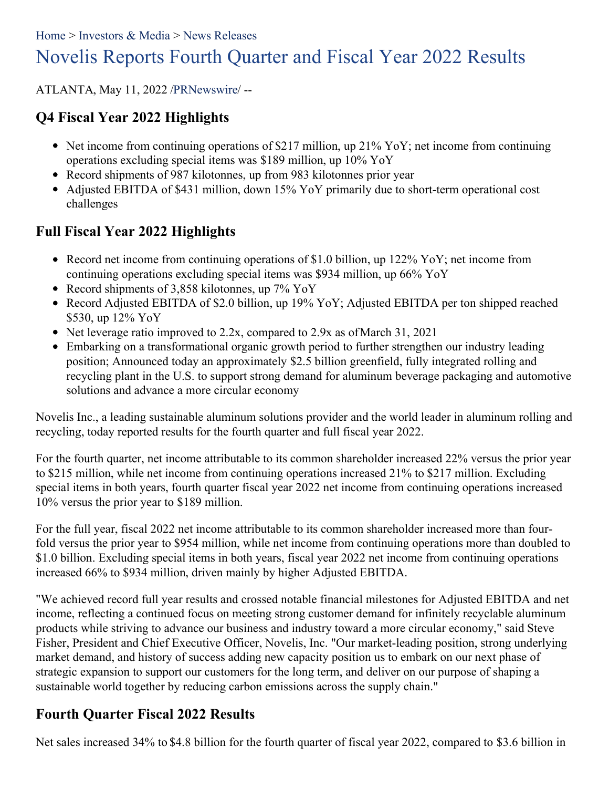# Novelis Reports Fourth Quarter and Fiscal Year 2022 Results

ATLANTA, May 11, 2022 [/PRNewswire/](http://www.prnewswire.com/) --

### **Q4 Fiscal Year 2022 Highlights**

- Net income from continuing operations of \$217 million, up 21% YoY; net income from continuing operations excluding special items was \$189 million, up 10% YoY
- Record shipments of 987 kilotonnes, up from 983 kilotonnes prior year
- Adjusted EBITDA of \$431 million, down 15% YoY primarily due to short-term operational cost challenges

## **Full Fiscal Year 2022 Highlights**

- Record net income from continuing operations of \$1.0 billion, up 122% YoY; net income from continuing operations excluding special items was \$934 million, up 66% YoY
- Record shipments of 3,858 kilotonnes, up 7% YoY
- Record Adjusted EBITDA of \$2.0 billion, up 19% YoY; Adjusted EBITDA per ton shipped reached \$530, up 12% YoY
- Net leverage ratio improved to 2.2x, compared to 2.9x as of March 31, 2021
- Embarking on a transformational organic growth period to further strengthen our industry leading position; Announced today an approximately \$2.5 billion greenfield, fully integrated rolling and recycling plant in the U.S. to support strong demand for aluminum beverage packaging and automotive solutions and advance a more circular economy

Novelis Inc., a leading sustainable aluminum solutions provider and the world leader in aluminum rolling and recycling, today reported results for the fourth quarter and full fiscal year 2022.

For the fourth quarter, net income attributable to its common shareholder increased 22% versus the prior year to \$215 million, while net income from continuing operations increased 21% to \$217 million. Excluding special items in both years, fourth quarter fiscal year 2022 net income from continuing operations increased 10% versus the prior year to \$189 million.

For the full year, fiscal 2022 net income attributable to its common shareholder increased more than fourfold versus the prior year to \$954 million, while net income from continuing operations more than doubled to \$1.0 billion. Excluding special items in both years, fiscal year 2022 net income from continuing operations increased 66% to \$934 million, driven mainly by higher Adjusted EBITDA.

"We achieved record full year results and crossed notable financial milestones for Adjusted EBITDA and net income, reflecting a continued focus on meeting strong customer demand for infinitely recyclable aluminum products while striving to advance our business and industry toward a more circular economy," said Steve Fisher, President and Chief Executive Officer, Novelis, Inc. "Our market-leading position, strong underlying market demand, and history of success adding new capacity position us to embark on our next phase of strategic expansion to support our customers for the long term, and deliver on our purpose of shaping a sustainable world together by reducing carbon emissions across the supply chain."

# **Fourth Quarter Fiscal 2022 Results**

Net sales increased 34% to \$4.8 billion for the fourth quarter of fiscal year 2022, compared to \$3.6 billion in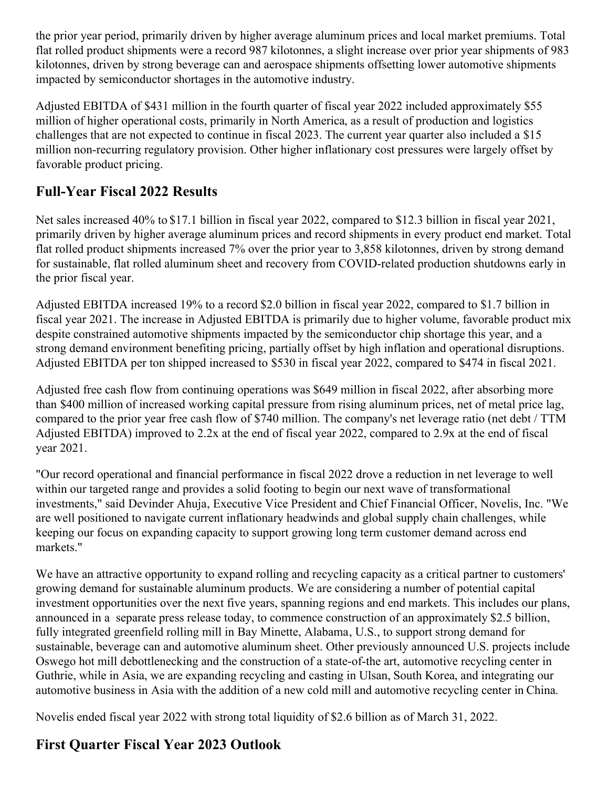the prior year period, primarily driven by higher average aluminum prices and local market premiums. Total flat rolled product shipments were a record 987 kilotonnes, a slight increase over prior year shipments of 983 kilotonnes, driven by strong beverage can and aerospace shipments offsetting lower automotive shipments impacted by semiconductor shortages in the automotive industry.

Adjusted EBITDA of \$431 million in the fourth quarter of fiscal year 2022 included approximately \$55 million of higher operational costs, primarily in North America, as a result of production and logistics challenges that are not expected to continue in fiscal 2023. The current year quarter also included a \$15 million non-recurring regulatory provision. Other higher inflationary cost pressures were largely offset by favorable product pricing.

### **Full-Year Fiscal 2022 Results**

Net sales increased 40% to \$17.1 billion in fiscal year 2022, compared to \$12.3 billion in fiscal year 2021, primarily driven by higher average aluminum prices and record shipments in every product end market. Total flat rolled product shipments increased 7% over the prior year to 3,858 kilotonnes, driven by strong demand for sustainable, flat rolled aluminum sheet and recovery from COVID-related production shutdowns early in the prior fiscal year.

Adjusted EBITDA increased 19% to a record \$2.0 billion in fiscal year 2022, compared to \$1.7 billion in fiscal year 2021. The increase in Adjusted EBITDA is primarily due to higher volume, favorable product mix despite constrained automotive shipments impacted by the semiconductor chip shortage this year, and a strong demand environment benefiting pricing, partially offset by high inflation and operational disruptions. Adjusted EBITDA per ton shipped increased to \$530 in fiscal year 2022, compared to \$474 in fiscal 2021.

Adjusted free cash flow from continuing operations was \$649 million in fiscal 2022, after absorbing more than \$400 million of increased working capital pressure from rising aluminum prices, net of metal price lag, compared to the prior year free cash flow of \$740 million. The company's net leverage ratio (net debt / TTM Adjusted EBITDA) improved to 2.2x at the end of fiscal year 2022, compared to 2.9x at the end of fiscal year 2021.

"Our record operational and financial performance in fiscal 2022 drove a reduction in net leverage to well within our targeted range and provides a solid footing to begin our next wave of transformational investments," said Devinder Ahuja, Executive Vice President and Chief Financial Officer, Novelis, Inc. "We are well positioned to navigate current inflationary headwinds and global supply chain challenges, while keeping our focus on expanding capacity to support growing long term customer demand across end markets."

We have an attractive opportunity to expand rolling and recycling capacity as a critical partner to customers' growing demand for sustainable aluminum products. We are considering a number of potential capital investment opportunities over the next five years, spanning regions and end markets. This includes our plans, announced in a separate press release today, to commence construction of an approximately \$2.5 billion, fully integrated greenfield rolling mill in Bay Minette, Alabama, U.S., to support strong demand for sustainable, beverage can and automotive aluminum sheet. Other previously announced U.S. projects include Oswego hot mill debottlenecking and the construction of a state-of-the art, automotive recycling center in Guthrie, while in Asia, we are expanding recycling and casting in Ulsan, South Korea, and integrating our automotive business in Asia with the addition of a new cold mill and automotive recycling center in China.

Novelis ended fiscal year 2022 with strong total liquidity of \$2.6 billion as of March 31, 2022.

### **First Quarter Fiscal Year 2023 Outlook**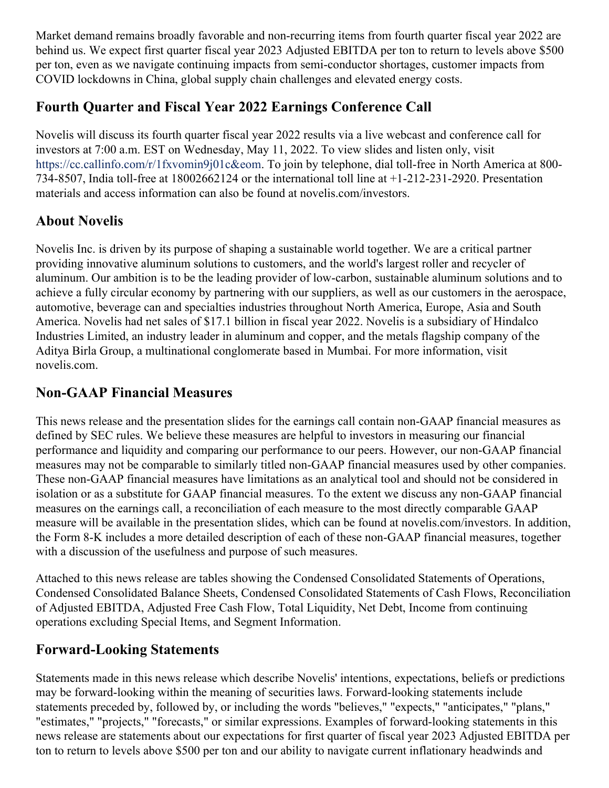Market demand remains broadly favorable and non-recurring items from fourth quarter fiscal year 2022 are behind us. We expect first quarter fiscal year 2023 Adjusted EBITDA per ton to return to levels above \$500 per ton, even as we navigate continuing impacts from semi-conductor shortages, customer impacts from COVID lockdowns in China, global supply chain challenges and elevated energy costs.

### **Fourth Quarter and Fiscal Year 2022 Earnings Conference Call**

Novelis will discuss its fourth quarter fiscal year 2022 results via a live webcast and conference call for investors at 7:00 a.m. EST on Wednesday, May 11, 2022. To view slides and listen only, visit [https://cc.callinfo.com/r/1fxvomin9j01c&eom.](https://c212.net/c/link/?t=0&l=en&o=3532906-1&h=528405582&u=https%3A%2F%2Fcc.callinfo.com%2Fregistration%2F%23%2F%3Fmeeting%3D1q694etq4r65v%26campaign%3D1fxvomin9j01c&a=https%3A%2F%2Fcc.callinfo.com%2Fr%2F1fxvomin9j01c%26eom) To join by telephone, dial toll-free in North America at 800-734-8507, India toll-free at 18002662124 or the international toll line at +1-212-231-2920. Presentation materials and access information can also be found at novelis.com/investors.

# **About Novelis**

Novelis Inc. is driven by its purpose of shaping a sustainable world together. We are a critical partner providing innovative aluminum solutions to customers, and the world's largest roller and recycler of aluminum. Our ambition is to be the leading provider of low-carbon, sustainable aluminum solutions and to achieve a fully circular economy by partnering with our suppliers, as well as our customers in the aerospace, automotive, beverage can and specialties industries throughout North America, Europe, Asia and South America. Novelis had net sales of \$17.1 billion in fiscal year 2022. Novelis is a subsidiary of Hindalco Industries Limited, an industry leader in aluminum and copper, and the metals flagship company of the Aditya Birla Group, a multinational conglomerate based in Mumbai. For more information, visit novelis.com.

# **Non-GAAP Financial Measures**

This news release and the presentation slides for the earnings call contain non-GAAP financial measures as defined by SEC rules. We believe these measures are helpful to investors in measuring our financial performance and liquidity and comparing our performance to our peers. However, our non-GAAP financial measures may not be comparable to similarly titled non-GAAP financial measures used by other companies. These non-GAAP financial measures have limitations as an analytical tool and should not be considered in isolation or as a substitute for GAAP financial measures. To the extent we discuss any non-GAAP financial measures on the earnings call, a reconciliation of each measure to the most directly comparable GAAP measure will be available in the presentation slides, which can be found at novelis.com/investors. In addition, the Form 8-K includes a more detailed description of each of these non-GAAP financial measures, together with a discussion of the usefulness and purpose of such measures.

Attached to this news release are tables showing the Condensed Consolidated Statements of Operations, Condensed Consolidated Balance Sheets, Condensed Consolidated Statements of Cash Flows, Reconciliation of Adjusted EBITDA, Adjusted Free Cash Flow, Total Liquidity, Net Debt, Income from continuing operations excluding Special Items, and Segment Information.

## **Forward-Looking Statements**

Statements made in this news release which describe Novelis' intentions, expectations, beliefs or predictions may be forward-looking within the meaning of securities laws. Forward-looking statements include statements preceded by, followed by, or including the words "believes," "expects," "anticipates," "plans," "estimates," "projects," "forecasts," or similar expressions. Examples of forward-looking statements in this news release are statements about our expectations for first quarter of fiscal year 2023 Adjusted EBITDA per ton to return to levels above \$500 per ton and our ability to navigate current inflationary headwinds and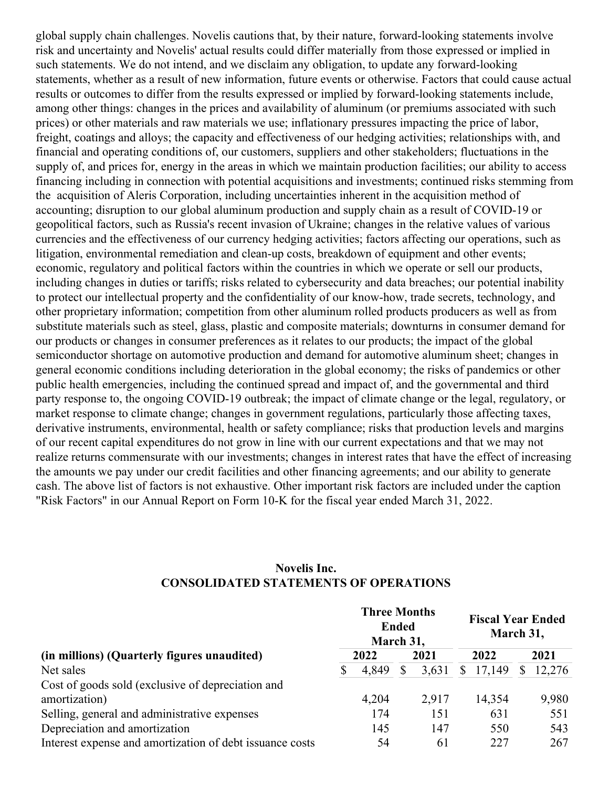global supply chain challenges. Novelis cautions that, by their nature, forward-looking statements involve risk and uncertainty and Novelis' actual results could differ materially from those expressed or implied in such statements. We do not intend, and we disclaim any obligation, to update any forward-looking statements, whether as a result of new information, future events or otherwise. Factors that could cause actual results or outcomes to differ from the results expressed or implied by forward-looking statements include, among other things: changes in the prices and availability of aluminum (or premiums associated with such prices) or other materials and raw materials we use; inflationary pressures impacting the price of labor, freight, coatings and alloys; the capacity and effectiveness of our hedging activities; relationships with, and financial and operating conditions of, our customers, suppliers and other stakeholders; fluctuations in the supply of, and prices for, energy in the areas in which we maintain production facilities; our ability to access financing including in connection with potential acquisitions and investments; continued risks stemming from the acquisition of Aleris Corporation, including uncertainties inherent in the acquisition method of accounting; disruption to our global aluminum production and supply chain as a result of COVID-19 or geopolitical factors, such as Russia's recent invasion of Ukraine; changes in the relative values of various currencies and the effectiveness of our currency hedging activities; factors affecting our operations, such as litigation, environmental remediation and clean-up costs, breakdown of equipment and other events; economic, regulatory and political factors within the countries in which we operate or sell our products, including changes in duties or tariffs; risks related to cybersecurity and data breaches; our potential inability to protect our intellectual property and the confidentiality of our know-how, trade secrets, technology, and other proprietary information; competition from other aluminum rolled products producers as well as from substitute materials such as steel, glass, plastic and composite materials; downturns in consumer demand for our products or changes in consumer preferences as it relates to our products; the impact of the global semiconductor shortage on automotive production and demand for automotive aluminum sheet; changes in general economic conditions including deterioration in the global economy; the risks of pandemics or other public health emergencies, including the continued spread and impact of, and the governmental and third party response to, the ongoing COVID-19 outbreak; the impact of climate change or the legal, regulatory, or market response to climate change; changes in government regulations, particularly those affecting taxes, derivative instruments, environmental, health or safety compliance; risks that production levels and margins of our recent capital expenditures do not grow in line with our current expectations and that we may not realize returns commensurate with our investments; changes in interest rates that have the effect of increasing the amounts we pay under our credit facilities and other financing agreements; and our ability to generate cash. The above list of factors is not exhaustive. Other important risk factors are included under the caption "Risk Factors" in our Annual Report on Form 10-K for the fiscal year ended March 31, 2022.

#### **Novelis Inc. CONSOLIDATED STATEMENTS OF OPERATIONS**

| (in millions) (Quarterly figures unaudited)              |  | <b>Three Months</b><br><b>Ended</b><br>March 31, |   | <b>Fiscal Year Ended</b><br>March 31, |   |        |   |        |
|----------------------------------------------------------|--|--------------------------------------------------|---|---------------------------------------|---|--------|---|--------|
|                                                          |  | 2022                                             |   | 2021                                  |   | 2022   |   | 2021   |
| Net sales                                                |  | 4,849                                            | S | 3,631                                 | S | 17,149 | S | 12,276 |
| Cost of goods sold (exclusive of depreciation and        |  |                                                  |   |                                       |   |        |   |        |
| amortization)                                            |  | 4,204                                            |   | 2,917                                 |   | 14,354 |   | 9,980  |
| Selling, general and administrative expenses             |  | 174                                              |   | 151                                   |   | 631    |   | 551    |
| Depreciation and amortization                            |  | 145                                              |   | 147                                   |   | 550    |   | 543    |
| Interest expense and amortization of debt issuance costs |  | 54                                               |   | 61                                    |   | 227    |   | 267    |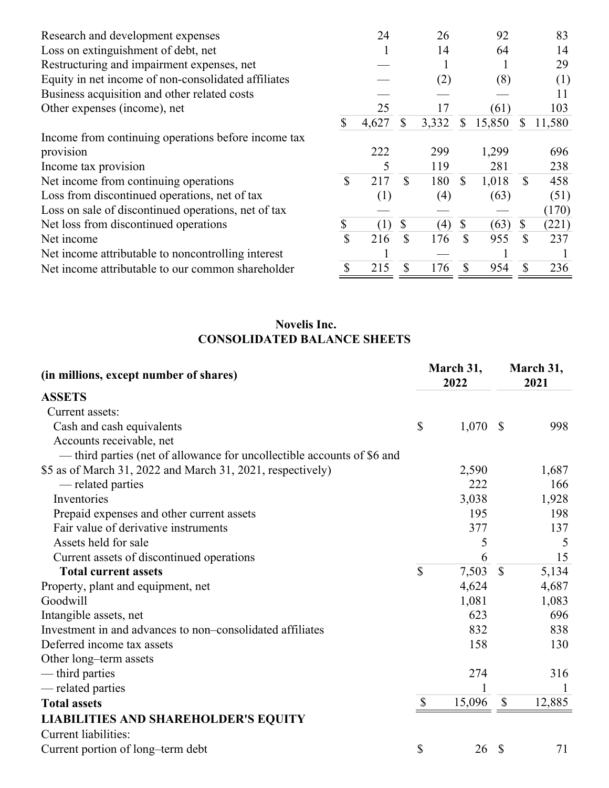| Research and development expenses                   |               | 24    |               | 26    |               | 92     |              | 83     |
|-----------------------------------------------------|---------------|-------|---------------|-------|---------------|--------|--------------|--------|
| Loss on extinguishment of debt, net                 |               |       |               | 14    |               | 64     |              | 14     |
| Restructuring and impairment expenses, net          |               |       |               |       |               |        |              | 29     |
| Equity in net income of non-consolidated affiliates |               |       |               | (2)   |               | (8)    |              | (1)    |
| Business acquisition and other related costs        |               |       |               |       |               |        |              | 11     |
| Other expenses (income), net                        |               | 25    |               | 17    |               | (61)   |              | 103    |
|                                                     | \$            | 4,627 | S             | 3,332 | S             | 15,850 |              | 11,580 |
| Income from continuing operations before income tax |               |       |               |       |               |        |              |        |
| provision                                           |               | 222   |               | 299   |               | 1,299  |              | 696    |
| Income tax provision                                |               |       |               | 119   |               | 281    |              | 238    |
| Net income from continuing operations               |               | 217   | <sup>\$</sup> | 180   | $\mathcal{S}$ | 1,018  | $\mathbb{S}$ | 458    |
| Loss from discontinued operations, net of tax       |               | (1)   |               | (4)   |               | (63)   |              | (51)   |
| Loss on sale of discontinued operations, net of tax |               |       |               |       |               |        |              | (170)  |
| Net loss from discontinued operations               | \$            | (1)   | \$            | (4)   | $\mathbb{S}$  | (63)   | \$           | (221)  |
| Net income                                          | $\mathcal{S}$ | 216   | \$            | 176   | \$            | 955    | \$           | 237    |
| Net income attributable to noncontrolling interest  |               |       |               |       |               |        |              |        |
| Net income attributable to our common shareholder   |               | 215   |               | 176   | \$            | 954    | \$           | 236    |

#### **Novelis Inc. CONSOLIDATED BALANCE SHEETS**

| (in millions, except number of shares)                                  | March 31,<br>2022         |        |               | March 31,<br>2021 |  |  |
|-------------------------------------------------------------------------|---------------------------|--------|---------------|-------------------|--|--|
| <b>ASSETS</b>                                                           |                           |        |               |                   |  |  |
| Current assets:                                                         |                           |        |               |                   |  |  |
| Cash and cash equivalents                                               | $\boldsymbol{\mathsf{S}}$ | 1,070  | - \$          | 998               |  |  |
| Accounts receivable, net                                                |                           |        |               |                   |  |  |
| - third parties (net of allowance for uncollectible accounts of \$6 and |                           |        |               |                   |  |  |
| \$5 as of March 31, 2022 and March 31, 2021, respectively)              |                           | 2,590  |               | 1,687             |  |  |
| — related parties                                                       |                           | 222    |               | 166               |  |  |
| Inventories                                                             |                           | 3,038  |               | 1,928             |  |  |
| Prepaid expenses and other current assets                               |                           | 195    |               | 198               |  |  |
| Fair value of derivative instruments                                    |                           | 377    |               | 137               |  |  |
| Assets held for sale                                                    |                           | 5      |               | 5                 |  |  |
| Current assets of discontinued operations                               |                           | 6      |               | 15                |  |  |
| <b>Total current assets</b>                                             | $\mathbb{S}$              | 7,503  | $\mathcal{S}$ | 5,134             |  |  |
| Property, plant and equipment, net                                      |                           | 4,624  |               | 4,687             |  |  |
| Goodwill                                                                |                           | 1,081  |               | 1,083             |  |  |
| Intangible assets, net                                                  |                           | 623    |               | 696               |  |  |
| Investment in and advances to non-consolidated affiliates               |                           | 832    |               | 838               |  |  |
| Deferred income tax assets                                              |                           | 158    |               | 130               |  |  |
| Other long-term assets                                                  |                           |        |               |                   |  |  |
| — third parties                                                         |                           | 274    |               | 316               |  |  |
| — related parties                                                       |                           |        |               | 1                 |  |  |
| <b>Total assets</b>                                                     | $\mathcal{S}$             | 15,096 | \$            | 12,885            |  |  |
| <b>LIABILITIES AND SHAREHOLDER'S EQUITY</b>                             |                           |        |               |                   |  |  |
| <b>Current liabilities:</b>                                             |                           |        |               |                   |  |  |
| Current portion of long-term debt                                       | \$                        | 26     | <b>S</b>      | 71                |  |  |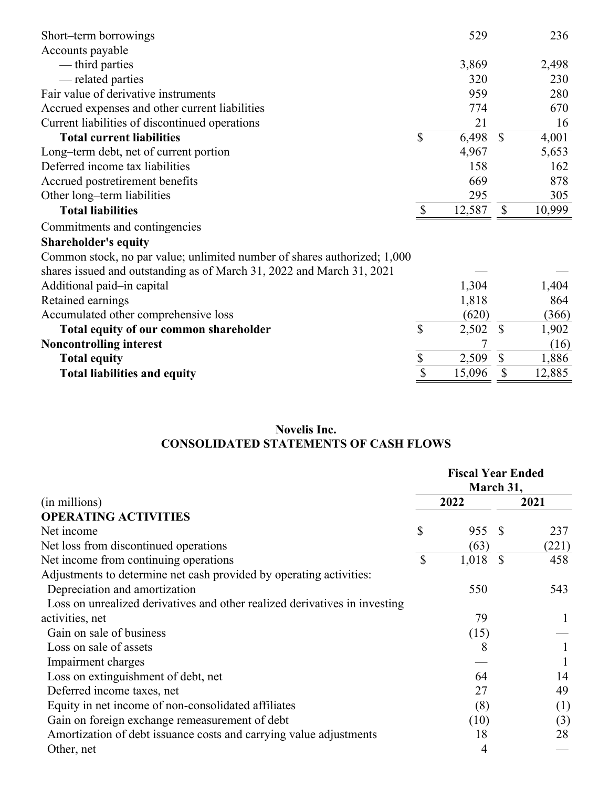| Short-term borrowings                                                    |               | 529    |               | 236    |
|--------------------------------------------------------------------------|---------------|--------|---------------|--------|
| Accounts payable                                                         |               |        |               |        |
| — third parties                                                          |               | 3,869  |               | 2,498  |
| — related parties                                                        |               | 320    |               | 230    |
| Fair value of derivative instruments                                     |               | 959    |               | 280    |
| Accrued expenses and other current liabilities                           |               | 774    |               | 670    |
| Current liabilities of discontinued operations                           |               | 21     |               | 16     |
| <b>Total current liabilities</b>                                         | $\mathbb{S}$  | 6,498  | $\mathbb{S}$  | 4,001  |
| Long-term debt, net of current portion                                   |               | 4,967  |               | 5,653  |
| Deferred income tax liabilities                                          |               | 158    |               | 162    |
| Accrued postretirement benefits                                          |               | 669    |               | 878    |
| Other long-term liabilities                                              |               | 295    |               | 305    |
| <b>Total liabilities</b>                                                 | $\mathcal{S}$ | 12,587 | \$            | 10,999 |
| Commitments and contingencies                                            |               |        |               |        |
| <b>Shareholder's equity</b>                                              |               |        |               |        |
| Common stock, no par value; unlimited number of shares authorized; 1,000 |               |        |               |        |
| shares issued and outstanding as of March 31, 2022 and March 31, 2021    |               |        |               |        |
| Additional paid-in capital                                               |               | 1,304  |               | 1,404  |
| Retained earnings                                                        |               | 1,818  |               | 864    |
| Accumulated other comprehensive loss                                     |               | (620)  |               | (366)  |
| Total equity of our common shareholder                                   | $\mathcal{S}$ | 2,502  | $\mathcal{S}$ | 1,902  |
| <b>Noncontrolling interest</b>                                           |               | 7      |               | (16)   |
| <b>Total equity</b>                                                      | $\$$          | 2,509  | $\mathcal{S}$ | 1,886  |
| <b>Total liabilities and equity</b>                                      |               | 15,096 | \$            | 12,885 |

#### **Novelis Inc. CONSOLIDATED STATEMENTS OF CASH FLOWS**

|                                                                            |               | <b>Fiscal Year Ended</b><br>March 31, |      |       |  |  |  |
|----------------------------------------------------------------------------|---------------|---------------------------------------|------|-------|--|--|--|
| (in millions)                                                              |               | 2022                                  | 2021 |       |  |  |  |
| <b>OPERATING ACTIVITIES</b>                                                |               |                                       |      |       |  |  |  |
| Net income                                                                 | \$            | 955                                   | -8   | 237   |  |  |  |
| Net loss from discontinued operations                                      |               | (63)                                  |      | (221) |  |  |  |
| Net income from continuing operations                                      | <sup>\$</sup> | 1,018                                 | -S   | 458   |  |  |  |
| Adjustments to determine net cash provided by operating activities:        |               |                                       |      |       |  |  |  |
| Depreciation and amortization                                              |               | 550                                   |      | 543   |  |  |  |
| Loss on unrealized derivatives and other realized derivatives in investing |               |                                       |      |       |  |  |  |
| activities, net                                                            |               | 79                                    |      |       |  |  |  |
| Gain on sale of business                                                   |               | (15)                                  |      |       |  |  |  |
| Loss on sale of assets                                                     |               | 8                                     |      |       |  |  |  |
| Impairment charges                                                         |               |                                       |      |       |  |  |  |
| Loss on extinguishment of debt, net                                        |               | 64                                    |      | 14    |  |  |  |
| Deferred income taxes, net                                                 |               | 27                                    |      | 49    |  |  |  |
| Equity in net income of non-consolidated affiliates                        |               | (8)                                   |      | (1)   |  |  |  |
| Gain on foreign exchange remeasurement of debt                             |               | (10)                                  |      | (3)   |  |  |  |
| Amortization of debt issuance costs and carrying value adjustments         |               | 18                                    |      | 28    |  |  |  |
| Other, net                                                                 |               | 4                                     |      |       |  |  |  |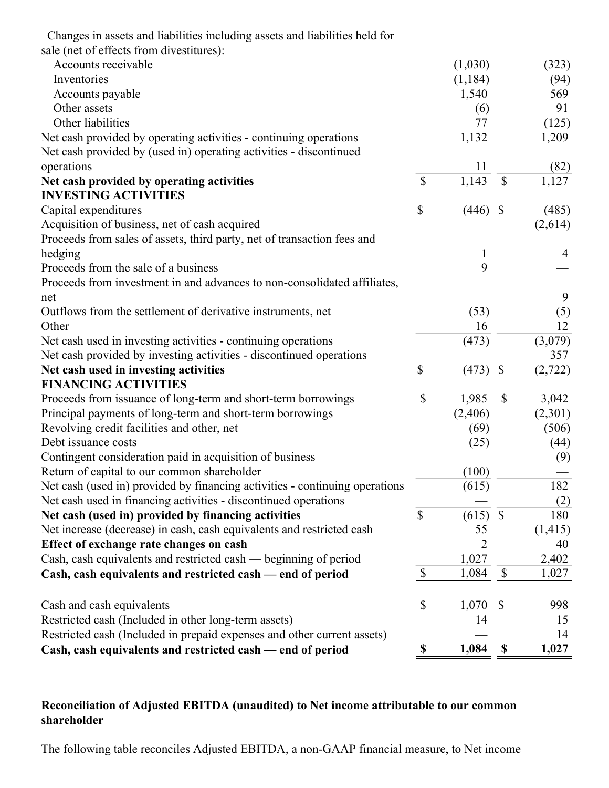Changes in assets and liabilities including assets and liabilities held for

sale (net of effects from divestitures):

| Accounts receivable                                                         |                           | (1,030)        |                           | (323)    |
|-----------------------------------------------------------------------------|---------------------------|----------------|---------------------------|----------|
| Inventories                                                                 |                           | (1, 184)       |                           | (94)     |
| Accounts payable                                                            |                           | 1,540          |                           | 569      |
| Other assets                                                                |                           | (6)            |                           | 91       |
| Other liabilities                                                           |                           | 77             |                           | (125)    |
| Net cash provided by operating activities - continuing operations           |                           | 1,132          |                           | 1,209    |
| Net cash provided by (used in) operating activities - discontinued          |                           |                |                           |          |
| operations                                                                  |                           | 11             |                           | (82)     |
| Net cash provided by operating activities                                   | $\boldsymbol{\mathsf{S}}$ | 1,143          | $\mathbb S$               | 1,127    |
| <b>INVESTING ACTIVITIES</b>                                                 |                           |                |                           |          |
| Capital expenditures                                                        | $\boldsymbol{\mathsf{S}}$ | $(446)$ \$     |                           | (485)    |
| Acquisition of business, net of cash acquired                               |                           |                |                           | (2,614)  |
| Proceeds from sales of assets, third party, net of transaction fees and     |                           |                |                           |          |
| hedging                                                                     |                           | 1              |                           | 4        |
| Proceeds from the sale of a business                                        |                           | 9              |                           |          |
| Proceeds from investment in and advances to non-consolidated affiliates,    |                           |                |                           |          |
| net                                                                         |                           |                |                           | 9        |
| Outflows from the settlement of derivative instruments, net                 |                           | (53)           |                           | (5)      |
| Other                                                                       |                           | 16             |                           | 12       |
| Net cash used in investing activities - continuing operations               |                           | (473)          |                           | (3,079)  |
| Net cash provided by investing activities - discontinued operations         |                           |                |                           | 357      |
| Net cash used in investing activities                                       | $\boldsymbol{\mathsf{S}}$ | (473)          | $\boldsymbol{\mathsf{S}}$ | (2, 722) |
| <b>FINANCING ACTIVITIES</b>                                                 |                           |                |                           |          |
| Proceeds from issuance of long-term and short-term borrowings               | \$                        | 1,985          | \$                        | 3,042    |
| Principal payments of long-term and short-term borrowings                   |                           | (2,406)        |                           | (2,301)  |
| Revolving credit facilities and other, net                                  |                           | (69)           |                           | (506)    |
| Debt issuance costs                                                         |                           | (25)           |                           | (44)     |
| Contingent consideration paid in acquisition of business                    |                           |                |                           | (9)      |
| Return of capital to our common shareholder                                 |                           | (100)          |                           |          |
| Net cash (used in) provided by financing activities - continuing operations |                           | (615)          |                           | 182      |
| Net cash used in financing activities - discontinued operations             |                           |                |                           | (2)      |
| Net cash (used in) provided by financing activities                         | $\mathbb S$               | (615)          | $\mathcal{S}$             | 180      |
| Net increase (decrease) in cash, cash equivalents and restricted cash       |                           | 55             |                           | (1, 415) |
| Effect of exchange rate changes on cash                                     |                           | $\overline{2}$ |                           | 40       |
| Cash, cash equivalents and restricted cash — beginning of period            |                           | 1,027          |                           | 2,402    |
| Cash, cash equivalents and restricted cash - end of period                  | $\boldsymbol{\mathsf{S}}$ | 1,084          | \$                        | 1,027    |
| Cash and cash equivalents                                                   | $\boldsymbol{\mathsf{S}}$ | 1,070          | $\mathcal{S}$             | 998      |
| Restricted cash (Included in other long-term assets)                        |                           | 14             |                           | 15       |
| Restricted cash (Included in prepaid expenses and other current assets)     |                           |                |                           | 14       |
| Cash, cash equivalents and restricted cash - end of period                  | \$                        | 1,084          | \$                        | 1,027    |

#### **Reconciliation of Adjusted EBITDA (unaudited) to Net income attributable to our common shareholder**

The following table reconciles Adjusted EBITDA, a non-GAAP financial measure, to Net income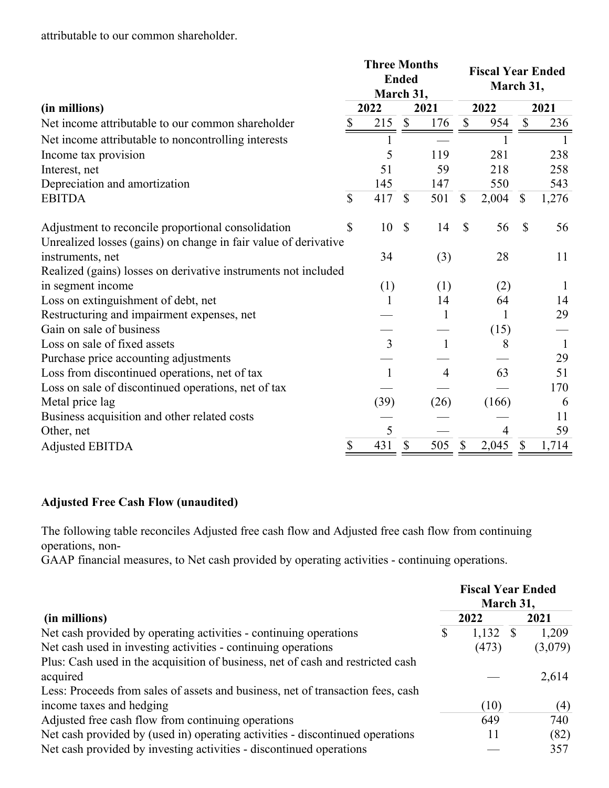attributable to our common shareholder.

|                                                                 | <b>Three Months</b><br><b>Ended</b><br>March 31, |      |              |                |               |       | <b>Fiscal Year Ended</b><br>March 31, |       |  |
|-----------------------------------------------------------------|--------------------------------------------------|------|--------------|----------------|---------------|-------|---------------------------------------|-------|--|
| (in millions)                                                   | 2022<br>2021                                     |      |              | 2022           |               | 2021  |                                       |       |  |
| Net income attributable to our common shareholder               |                                                  | 215  | $\mathbb{S}$ | 176            | $\mathcal{S}$ | 954   | $\boldsymbol{\mathsf{S}}$             | 236   |  |
| Net income attributable to noncontrolling interests             |                                                  |      |              |                |               |       |                                       |       |  |
| Income tax provision                                            |                                                  | 5    |              | 119            |               | 281   |                                       | 238   |  |
| Interest, net                                                   |                                                  | 51   |              | 59             |               | 218   |                                       | 258   |  |
| Depreciation and amortization                                   |                                                  | 145  |              | 147            |               | 550   |                                       | 543   |  |
| <b>EBITDA</b>                                                   | \$                                               | 417  | $\mathbb{S}$ | 501            | $\mathbb{S}$  | 2,004 | $\mathcal{S}$                         | 1,276 |  |
| Adjustment to reconcile proportional consolidation              | \$                                               | 10   | $\mathbb{S}$ | 14             | $\mathbb{S}$  | 56    | \$                                    | 56    |  |
| Unrealized losses (gains) on change in fair value of derivative |                                                  |      |              |                |               |       |                                       |       |  |
| instruments, net                                                |                                                  | 34   |              | (3)            |               | 28    |                                       | 11    |  |
| Realized (gains) losses on derivative instruments not included  |                                                  |      |              |                |               |       |                                       |       |  |
| in segment income                                               |                                                  | (1)  |              | (1)            |               | (2)   |                                       | 1     |  |
| Loss on extinguishment of debt, net                             |                                                  | 1    |              | 14             |               | 64    |                                       | 14    |  |
| Restructuring and impairment expenses, net                      |                                                  |      |              | 1              |               | 1     |                                       | 29    |  |
| Gain on sale of business                                        |                                                  |      |              |                |               | (15)  |                                       |       |  |
| Loss on sale of fixed assets                                    |                                                  | 3    |              |                |               | 8     |                                       | -1    |  |
| Purchase price accounting adjustments                           |                                                  |      |              |                |               |       |                                       | 29    |  |
| Loss from discontinued operations, net of tax                   |                                                  |      |              | $\overline{4}$ |               | 63    |                                       | 51    |  |
| Loss on sale of discontinued operations, net of tax             |                                                  |      |              |                |               |       |                                       | 170   |  |
| Metal price lag                                                 |                                                  | (39) |              | (26)           |               | (166) |                                       | 6     |  |
| Business acquisition and other related costs                    |                                                  |      |              |                |               |       |                                       | 11    |  |
| Other, net                                                      |                                                  | 5    |              |                |               | 4     |                                       | 59    |  |
| Adjusted EBITDA                                                 |                                                  | 431  | $\mathbb{S}$ | 505            | \$            | 2,045 | \$                                    | 1,714 |  |

#### **Adjusted Free Cash Flow (unaudited)**

The following table reconciles Adjusted free cash flow and Adjusted free cash flow from continuing operations, non-

GAAP financial measures, to Net cash provided by operating activities - continuing operations.

|                                                                                 | <b>Fiscal Year Ended</b> |           |         |  |  |  |  |
|---------------------------------------------------------------------------------|--------------------------|-----------|---------|--|--|--|--|
|                                                                                 |                          | March 31, |         |  |  |  |  |
| (in millions)                                                                   | 2022                     |           | 2021    |  |  |  |  |
| Net cash provided by operating activities - continuing operations               | \$<br>$1,132$ \$         |           | 1,209   |  |  |  |  |
| Net cash used in investing activities - continuing operations                   | (473)                    |           | (3,079) |  |  |  |  |
| Plus: Cash used in the acquisition of business, net of cash and restricted cash |                          |           |         |  |  |  |  |
| acquired                                                                        |                          |           | 2,614   |  |  |  |  |
| Less: Proceeds from sales of assets and business, net of transaction fees, cash |                          |           |         |  |  |  |  |
| income taxes and hedging                                                        | (10)                     |           | (4)     |  |  |  |  |
| Adjusted free cash flow from continuing operations                              | 649                      |           | 740     |  |  |  |  |
| Net cash provided by (used in) operating activities - discontinued operations   | 11                       |           | (82)    |  |  |  |  |
| Net cash provided by investing activities - discontinued operations             |                          |           | 357     |  |  |  |  |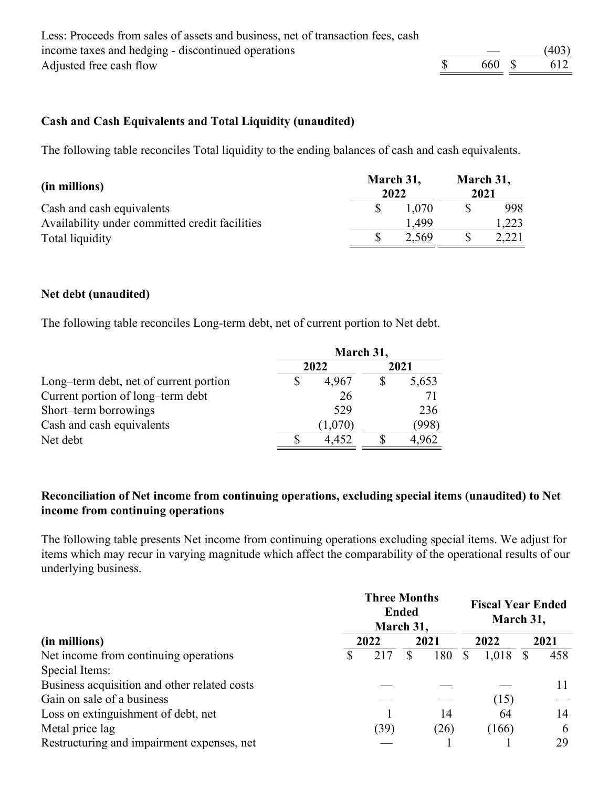Less: Proceeds from sales of assets and business, net of transaction fees, cash income taxes and hedging - discontinued operations  $\overline{\text{S}}$ Adjusted free cash flow

|        | (403) |
|--------|-------|
| 660 \$ | 612   |

#### **Cash and Cash Equivalents and Total Liquidity (unaudited)**

The following table reconciles Total liquidity to the ending balances of cash and cash equivalents.

| (in millions)                                  | March 31,<br>2022 | March 31,<br>2021 |       |  |
|------------------------------------------------|-------------------|-------------------|-------|--|
| Cash and cash equivalents                      | 1.070             |                   | 998   |  |
| Availability under committed credit facilities | l.499             |                   | ,223  |  |
| Total liquidity                                | 2,569             |                   | 2,221 |  |

#### **Net debt (unaudited)**

The following table reconciles Long-term debt, net of current portion to Net debt.

|                                        | March 31, |         |  |       |  |  |  |  |  |
|----------------------------------------|-----------|---------|--|-------|--|--|--|--|--|
|                                        |           | 2022    |  | 2021  |  |  |  |  |  |
| Long-term debt, net of current portion |           | 4,967   |  | 5,653 |  |  |  |  |  |
| Current portion of long-term debt      |           | 26      |  | 71    |  |  |  |  |  |
| Short-term borrowings                  |           | 529     |  | 236   |  |  |  |  |  |
| Cash and cash equivalents              |           | (1,070) |  | (998) |  |  |  |  |  |
| Net debt                               |           | 4,452   |  | 4.962 |  |  |  |  |  |

#### **Reconciliation of Net income from continuing operations, excluding special items (unaudited) to Net income from continuing operations**

The following table presents Net income from continuing operations excluding special items. We adjust for items which may recur in varying magnitude which affect the comparability of the operational results of our underlying business.

|                                              | <b>Three Months</b><br><b>Ended</b><br>March 31, |      |          |      |              | <b>Fiscal Year Ended</b><br>March 31, |      |     |  |
|----------------------------------------------|--------------------------------------------------|------|----------|------|--------------|---------------------------------------|------|-----|--|
| (in millions)                                |                                                  | 2022 | 2021     |      | 2022         |                                       | 2021 |     |  |
| Net income from continuing operations        | \$                                               | 217  | <b>S</b> | 180  | <sup>S</sup> | $1,018$ \$                            |      | 458 |  |
| Special Items:                               |                                                  |      |          |      |              |                                       |      |     |  |
| Business acquisition and other related costs |                                                  |      |          |      |              |                                       |      | 11  |  |
| Gain on sale of a business                   |                                                  |      |          |      |              | (15)                                  |      |     |  |
| Loss on extinguishment of debt, net          |                                                  |      |          | 14   |              | 64                                    |      | 14  |  |
| Metal price lag                              |                                                  | (39) |          | (26) |              | (166)                                 |      | 6   |  |
| Restructuring and impairment expenses, net   |                                                  |      |          |      |              |                                       |      | 29  |  |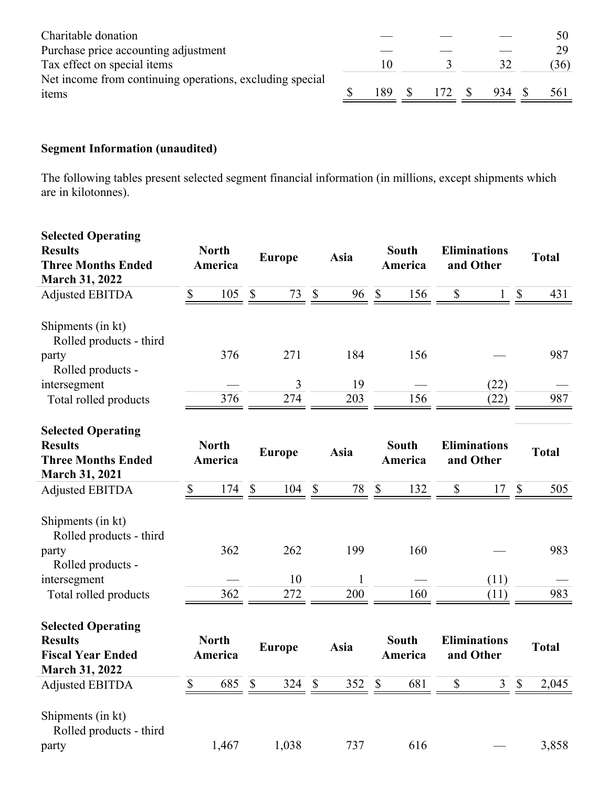| Charitable donation                                      |     |  |     | 50  |
|----------------------------------------------------------|-----|--|-----|-----|
| Purchase price accounting adjustment                     |     |  |     | 29  |
| Tax effect on special items                              |     |  |     | 36) |
| Net income from continuing operations, excluding special |     |  |     |     |
| items                                                    | 189 |  | 934 | 561 |
|                                                          |     |  |     |     |

#### **Segment Information (unaudited)**

The following tables present selected segment financial information (in millions, except shipments which are in kilotonnes).

| <b>Selected Operating</b> |                                  |                                  |                                 |                                  |                                 |                                          |
|---------------------------|----------------------------------|----------------------------------|---------------------------------|----------------------------------|---------------------------------|------------------------------------------|
| <b>Results</b>            | <b>North</b>                     |                                  | Asia                            | <b>South</b>                     | <b>Eliminations</b>             | <b>Total</b>                             |
| <b>Three Months Ended</b> | America                          | <b>Europe</b>                    |                                 | America                          | and Other                       |                                          |
| March 31, 2022            |                                  |                                  |                                 |                                  |                                 |                                          |
| <b>Adjusted EBITDA</b>    | $\boldsymbol{\mathsf{S}}$<br>105 | $\boldsymbol{\mathsf{S}}$<br>73  | $\boldsymbol{\mathsf{S}}$<br>96 | $\mathcal{S}$<br>156             | $\mathcal{S}$<br>1              | $\boldsymbol{\mathsf{S}}$<br>431         |
|                           |                                  |                                  |                                 |                                  |                                 |                                          |
| Shipments (in kt)         |                                  |                                  |                                 |                                  |                                 |                                          |
| Rolled products - third   |                                  |                                  |                                 |                                  |                                 |                                          |
| party                     | 376                              | 271                              | 184                             | 156                              |                                 | 987                                      |
| Rolled products -         |                                  |                                  |                                 |                                  |                                 |                                          |
| intersegment              |                                  | 3                                | 19                              |                                  | (22)                            |                                          |
| Total rolled products     | 376                              | 274                              | 203                             | 156                              | (22)                            | 987                                      |
|                           |                                  |                                  |                                 |                                  |                                 |                                          |
| <b>Selected Operating</b> |                                  |                                  |                                 |                                  |                                 |                                          |
| <b>Results</b>            | <b>North</b>                     |                                  |                                 | <b>South</b>                     | <b>Eliminations</b>             |                                          |
| <b>Three Months Ended</b> | America                          | <b>Europe</b>                    | Asia                            | America                          | and Other                       | <b>Total</b>                             |
| <b>March 31, 2021</b>     |                                  |                                  |                                 |                                  |                                 |                                          |
| <b>Adjusted EBITDA</b>    | $\boldsymbol{\mathsf{S}}$<br>174 | $\frac{1}{2}$<br>104             | $\mathcal{S}$<br>78             | $\mathbb{S}$<br>132              | $\boldsymbol{\mathsf{S}}$<br>17 | $\frac{\mathcal{S}}{\mathcal{S}}$<br>505 |
|                           |                                  |                                  |                                 |                                  |                                 |                                          |
| Shipments (in kt)         |                                  |                                  |                                 |                                  |                                 |                                          |
| Rolled products - third   |                                  |                                  |                                 |                                  |                                 |                                          |
| party                     | 362                              | 262                              | 199                             | 160                              |                                 | 983                                      |
| Rolled products -         |                                  |                                  |                                 |                                  |                                 |                                          |
| intersegment              |                                  | 10                               | $\mathbf{1}$                    |                                  | (11)                            |                                          |
| Total rolled products     | 362                              | 272                              | 200                             | 160                              | (11)                            | 983                                      |
|                           |                                  |                                  |                                 |                                  |                                 |                                          |
| <b>Selected Operating</b> |                                  |                                  |                                 |                                  |                                 |                                          |
| <b>Results</b>            | <b>North</b>                     |                                  |                                 | <b>South</b>                     | <b>Eliminations</b>             |                                          |
| <b>Fiscal Year Ended</b>  | America                          | <b>Europe</b>                    | Asia                            | America                          | and Other                       | <b>Total</b>                             |
| <b>March 31, 2022</b>     |                                  |                                  |                                 |                                  |                                 |                                          |
| <b>Adjusted EBITDA</b>    | \$<br>685                        | $\boldsymbol{\mathsf{S}}$<br>324 | $\mathcal{S}$<br>352            | $\boldsymbol{\mathsf{S}}$<br>681 | \$<br>3                         | $\boldsymbol{\mathsf{S}}$<br>2,045       |
|                           |                                  |                                  |                                 |                                  |                                 |                                          |
| Shipments (in kt)         |                                  |                                  |                                 |                                  |                                 |                                          |
| Rolled products - third   |                                  |                                  |                                 |                                  |                                 |                                          |
| party                     | 1,467                            | 1,038                            | 737                             | 616                              |                                 | 3,858                                    |
|                           |                                  |                                  |                                 |                                  |                                 |                                          |